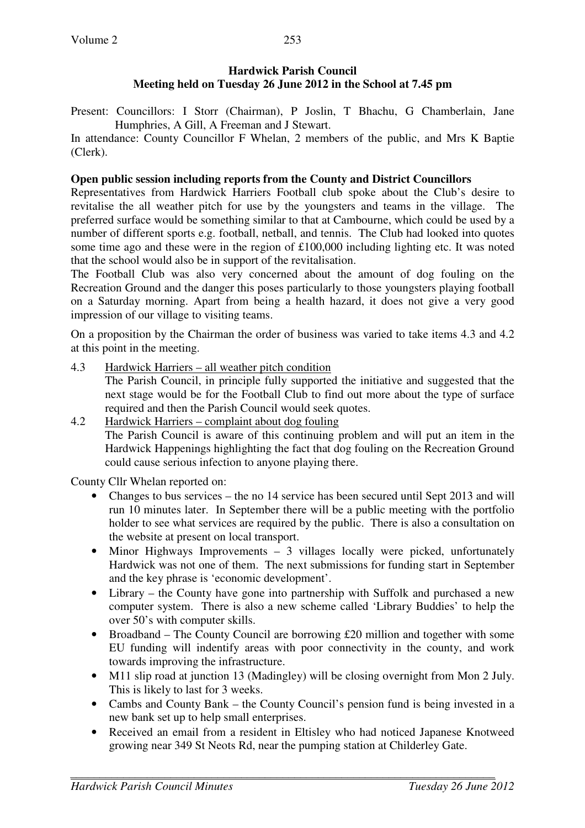# **Hardwick Parish Council Meeting held on Tuesday 26 June 2012 in the School at 7.45 pm**

Present: Councillors: I Storr (Chairman), P Joslin, T Bhachu, G Chamberlain, Jane Humphries, A Gill, A Freeman and J Stewart.

In attendance: County Councillor F Whelan, 2 members of the public, and Mrs K Baptie (Clerk).

### **Open public session including reports from the County and District Councillors**

Representatives from Hardwick Harriers Football club spoke about the Club's desire to revitalise the all weather pitch for use by the youngsters and teams in the village. The preferred surface would be something similar to that at Cambourne, which could be used by a number of different sports e.g. football, netball, and tennis. The Club had looked into quotes some time ago and these were in the region of £100,000 including lighting etc. It was noted that the school would also be in support of the revitalisation.

The Football Club was also very concerned about the amount of dog fouling on the Recreation Ground and the danger this poses particularly to those youngsters playing football on a Saturday morning. Apart from being a health hazard, it does not give a very good impression of our village to visiting teams.

On a proposition by the Chairman the order of business was varied to take items 4.3 and 4.2 at this point in the meeting.

4.3 Hardwick Harriers – all weather pitch condition

The Parish Council, in principle fully supported the initiative and suggested that the next stage would be for the Football Club to find out more about the type of surface required and then the Parish Council would seek quotes.

4.2 Hardwick Harriers – complaint about dog fouling The Parish Council is aware of this continuing problem and will put an item in the Hardwick Happenings highlighting the fact that dog fouling on the Recreation Ground could cause serious infection to anyone playing there.

County Cllr Whelan reported on:

- Changes to bus services the no 14 service has been secured until Sept 2013 and will run 10 minutes later. In September there will be a public meeting with the portfolio holder to see what services are required by the public. There is also a consultation on the website at present on local transport.
- Minor Highways Improvements 3 villages locally were picked, unfortunately Hardwick was not one of them. The next submissions for funding start in September and the key phrase is 'economic development'.
- Library the County have gone into partnership with Suffolk and purchased a new computer system. There is also a new scheme called 'Library Buddies' to help the over 50's with computer skills.
- Broadband The County Council are borrowing £20 million and together with some EU funding will indentify areas with poor connectivity in the county, and work towards improving the infrastructure.
- M11 slip road at junction 13 (Madingley) will be closing overnight from Mon 2 July. This is likely to last for 3 weeks.
- Cambs and County Bank the County Council's pension fund is being invested in a new bank set up to help small enterprises.
- Received an email from a resident in Eltisley who had noticed Japanese Knotweed growing near 349 St Neots Rd, near the pumping station at Childerley Gate.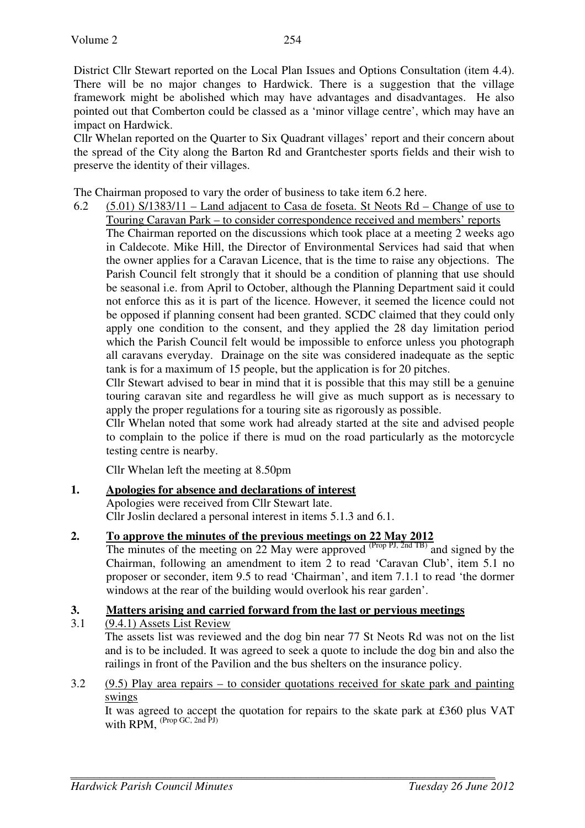District Cllr Stewart reported on the Local Plan Issues and Options Consultation (item 4.4). There will be no major changes to Hardwick. There is a suggestion that the village framework might be abolished which may have advantages and disadvantages. He also pointed out that Comberton could be classed as a 'minor village centre', which may have an impact on Hardwick.

Cllr Whelan reported on the Quarter to Six Quadrant villages' report and their concern about the spread of the City along the Barton Rd and Grantchester sports fields and their wish to preserve the identity of their villages.

The Chairman proposed to vary the order of business to take item 6.2 here.

6.2 (5.01) S/1383/11 – Land adjacent to Casa de foseta. St Neots Rd – Change of use to Touring Caravan Park – to consider correspondence received and members' reports

 The Chairman reported on the discussions which took place at a meeting 2 weeks ago in Caldecote. Mike Hill, the Director of Environmental Services had said that when the owner applies for a Caravan Licence, that is the time to raise any objections. The Parish Council felt strongly that it should be a condition of planning that use should be seasonal i.e. from April to October, although the Planning Department said it could not enforce this as it is part of the licence. However, it seemed the licence could not be opposed if planning consent had been granted. SCDC claimed that they could only apply one condition to the consent, and they applied the 28 day limitation period which the Parish Council felt would be impossible to enforce unless you photograph all caravans everyday. Drainage on the site was considered inadequate as the septic tank is for a maximum of 15 people, but the application is for 20 pitches.

Cllr Stewart advised to bear in mind that it is possible that this may still be a genuine touring caravan site and regardless he will give as much support as is necessary to apply the proper regulations for a touring site as rigorously as possible.

Cllr Whelan noted that some work had already started at the site and advised people to complain to the police if there is mud on the road particularly as the motorcycle testing centre is nearby.

Cllr Whelan left the meeting at 8.50pm

## **1. Apologies for absence and declarations of interest**

Apologies were received from Cllr Stewart late. Cllr Joslin declared a personal interest in items 5.1.3 and 6.1.

**2. To approve the minutes of the previous meetings on 22 May 2012**

The minutes of the meeting on 22 May were approved  $(\text{Prop } PJ, \text{2nd } TB)$  and signed by the Chairman, following an amendment to item 2 to read 'Caravan Club', item 5.1 no proposer or seconder, item 9.5 to read 'Chairman', and item 7.1.1 to read 'the dormer windows at the rear of the building would overlook his rear garden'.

## **3. Matters arising and carried forward from the last or pervious meetings**

3.1 (9.4.1) Assets List Review

 The assets list was reviewed and the dog bin near 77 St Neots Rd was not on the list and is to be included. It was agreed to seek a quote to include the dog bin and also the railings in front of the Pavilion and the bus shelters on the insurance policy.

3.2 (9.5) Play area repairs – to consider quotations received for skate park and painting swings

 It was agreed to accept the quotation for repairs to the skate park at £360 plus VAT with  $RPM$ .  $^{(Prop \, GC, 2nd \, PJ)}$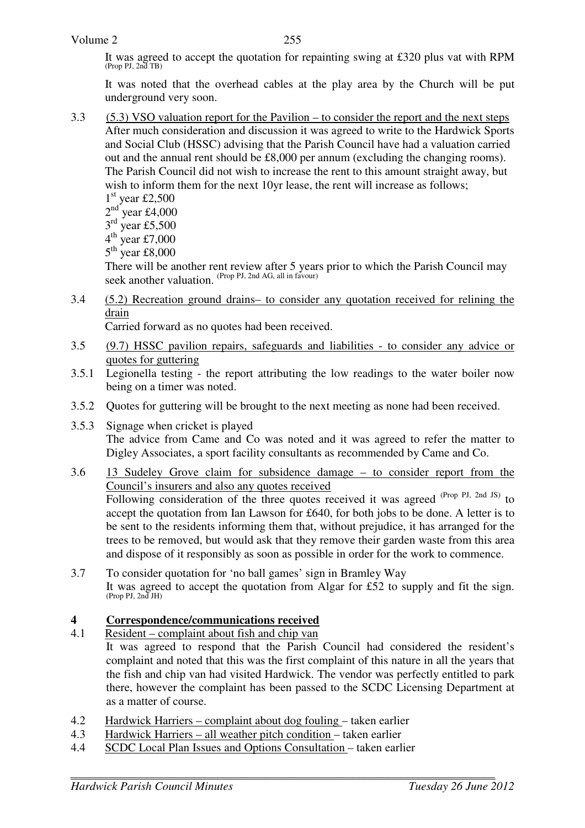It was agreed to accept the quotation for repainting swing at £320 plus vat with RPM (Prop PJ, 2nd TB)

 It was noted that the overhead cables at the play area by the Church will be put underground very soon.

3.3 (5.3) VSO valuation report for the Pavilion – to consider the report and the next steps After much consideration and discussion it was agreed to write to the Hardwick Sports and Social Club (HSSC) advising that the Parish Council have had a valuation carried out and the annual rent should be £8,000 per annum (excluding the changing rooms). The Parish Council did not wish to increase the rent to this amount straight away, but wish to inform them for the next 10yr lease, the rent will increase as follows;

1 st year £2,500  $2<sup>nd</sup>$  year £4,000  $3<sup>rd</sup>$  year £5,500  $4^{\text{th}}$  year £7,000  $5<sup>th</sup>$  year £8,000

There will be another rent review after 5 years prior to which the Parish Council may seek another valuation. (Prop PJ, 2nd AG, all in favour)

3.4 (5.2) Recreation ground drains– to consider any quotation received for relining the drain

Carried forward as no quotes had been received.

- 3.5 (9.7) HSSC pavilion repairs, safeguards and liabilities to consider any advice or quotes for guttering
- 3.5.1 Legionella testing the report attributing the low readings to the water boiler now being on a timer was noted.
- 3.5.2 Quotes for guttering will be brought to the next meeting as none had been received.
- 3.5.3 Signage when cricket is played The advice from Came and Co was noted and it was agreed to refer the matter to Digley Associates, a sport facility consultants as recommended by Came and Co.
- 3.6 13 Sudeley Grove claim for subsidence damage to consider report from the Council's insurers and also any quotes received Following consideration of the three quotes received it was agreed <sup>(Prop PJ, 2nd JS)</sup> to accept the quotation from Ian Lawson for £640, for both jobs to be done. A letter is to be sent to the residents informing them that, without prejudice, it has arranged for the trees to be removed, but would ask that they remove their garden waste from this area and dispose of it responsibly as soon as possible in order for the work to commence.
- 3.7 To consider quotation for 'no ball games' sign in Bramley Way It was agreed to accept the quotation from Algar for £52 to supply and fit the sign. (Prop PJ, 2nd JH)

# **4 Correspondence/communications received**<br>4.1 **Resident – complaint about fish and chip van**

- Resident complaint about fish and chip van
	- It was agreed to respond that the Parish Council had considered the resident's complaint and noted that this was the first complaint of this nature in all the years that the fish and chip van had visited Hardwick. The vendor was perfectly entitled to park there, however the complaint has been passed to the SCDC Licensing Department at as a matter of course.
- 4.2 Hardwick Harriers complaint about dog fouling taken earlier
- 4.3 Hardwick Harriers all weather pitch condition taken earlier
- 4.4 SCDC Local Plan Issues and Options Consultation taken earlier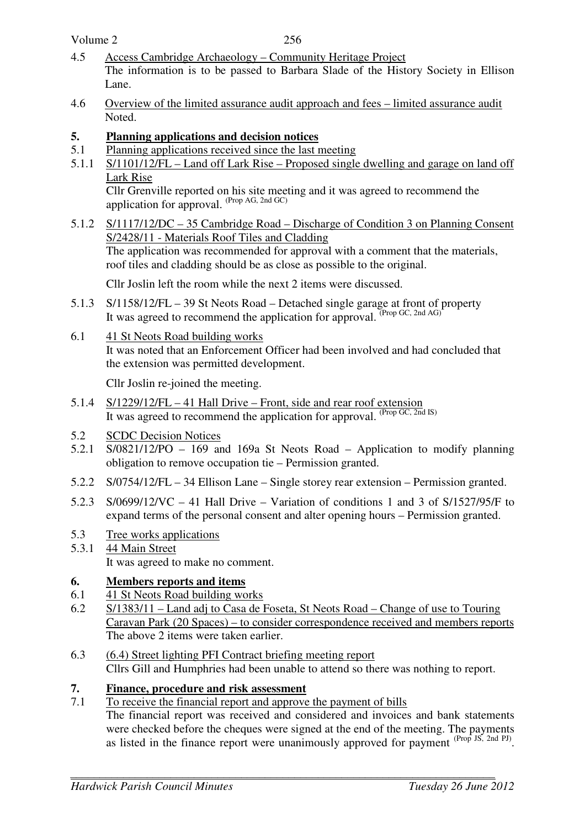Volume 2

- 4.5 Access Cambridge Archaeology Community Heritage Project The information is to be passed to Barbara Slade of the History Society in Ellison Lane.
- 4.6 Overview of the limited assurance audit approach and fees limited assurance audit Noted.
- **5. Planning applications and decision notices**
- 5.1 Planning applications received since the last meeting
- 5.1.1 S/1101/12/FL Land off Lark Rise Proposed single dwelling and garage on land off Lark Rise

 Cllr Grenville reported on his site meeting and it was agreed to recommend the application for approval. (Prop AG, 2nd GC)

5.1.2 S/1117/12/DC – 35 Cambridge Road – Discharge of Condition 3 on Planning Consent S/2428/11 - Materials Roof Tiles and Cladding The application was recommended for approval with a comment that the materials, roof tiles and cladding should be as close as possible to the original.

Cllr Joslin left the room while the next 2 items were discussed.

- 5.1.3 S/1158/12/FL 39 St Neots Road Detached single garage at front of property It was agreed to recommend the application for approval. <sup>(Prop GC, 2nd AG)</sup>
- 6.1 41 St Neots Road building works It was noted that an Enforcement Officer had been involved and had concluded that the extension was permitted development.

Cllr Joslin re-joined the meeting.

- 5.1.4 S/1229/12/FL 41 Hall Drive Front, side and rear roof extension It was agreed to recommend the application for approval. (Prop GC, 2nd IS)
- 5.2 SCDC Decision Notices
- 5.2.1 S/0821/12/PO 169 and 169a St Neots Road Application to modify planning obligation to remove occupation tie – Permission granted.
- 5.2.2 S/0754/12/FL 34 Ellison Lane Single storey rear extension Permission granted.
- 5.2.3 S/0699/12/VC 41 Hall Drive Variation of conditions 1 and 3 of S/1527/95/F to expand terms of the personal consent and alter opening hours – Permission granted.
- 5.3 Tree works applications
- 5.3.1 44 Main Street It was agreed to make no comment.

# **6. Members reports and items**

- 6.1 41 St Neots Road building works
- 6.2 S/1383/11 Land adj to Casa de Foseta, St Neots Road Change of use to Touring Caravan Park (20 Spaces) – to consider correspondence received and members reports The above 2 items were taken earlier.
- 6.3 (6.4) Street lighting PFI Contract briefing meeting report Cllrs Gill and Humphries had been unable to attend so there was nothing to report.
- **7. Finance, procedure and risk assessment**
- 7.1 To receive the financial report and approve the payment of bills The financial report was received and considered and invoices and bank statements were checked before the cheques were signed at the end of the meeting. The payments as listed in the finance report were unanimously approved for payment  $(Prop JS, 2nd PI)$ .